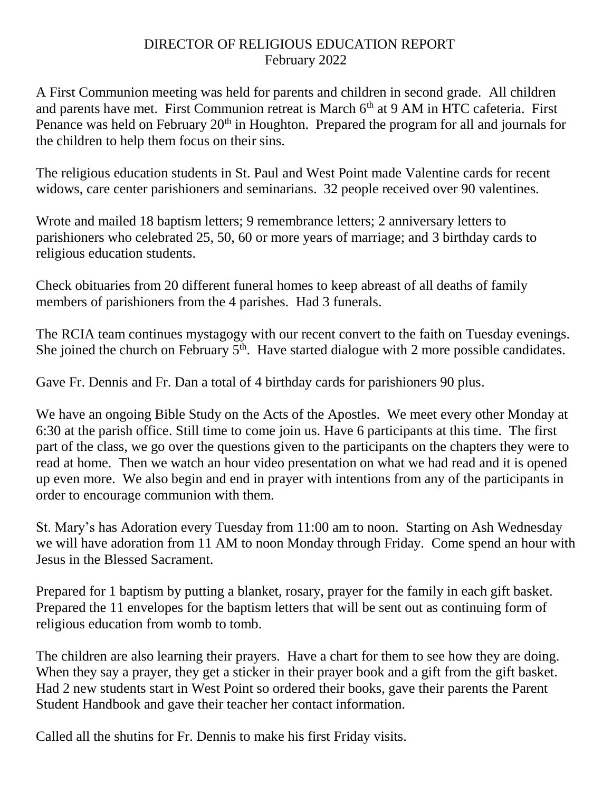## DIRECTOR OF RELIGIOUS EDUCATION REPORT February 2022

A First Communion meeting was held for parents and children in second grade. All children and parents have met. First Communion retreat is March 6<sup>th</sup> at 9 AM in HTC cafeteria. First Penance was held on February  $20<sup>th</sup>$  in Houghton. Prepared the program for all and journals for the children to help them focus on their sins.

The religious education students in St. Paul and West Point made Valentine cards for recent widows, care center parishioners and seminarians. 32 people received over 90 valentines.

Wrote and mailed 18 baptism letters; 9 remembrance letters; 2 anniversary letters to parishioners who celebrated 25, 50, 60 or more years of marriage; and 3 birthday cards to religious education students.

Check obituaries from 20 different funeral homes to keep abreast of all deaths of family members of parishioners from the 4 parishes. Had 3 funerals.

The RCIA team continues mystagogy with our recent convert to the faith on Tuesday evenings. She joined the church on February  $5<sup>th</sup>$ . Have started dialogue with 2 more possible candidates.

Gave Fr. Dennis and Fr. Dan a total of 4 birthday cards for parishioners 90 plus.

We have an ongoing Bible Study on the Acts of the Apostles. We meet every other Monday at 6:30 at the parish office. Still time to come join us. Have 6 participants at this time. The first part of the class, we go over the questions given to the participants on the chapters they were to read at home. Then we watch an hour video presentation on what we had read and it is opened up even more. We also begin and end in prayer with intentions from any of the participants in order to encourage communion with them.

St. Mary's has Adoration every Tuesday from 11:00 am to noon. Starting on Ash Wednesday we will have adoration from 11 AM to noon Monday through Friday. Come spend an hour with Jesus in the Blessed Sacrament.

Prepared for 1 baptism by putting a blanket, rosary, prayer for the family in each gift basket. Prepared the 11 envelopes for the baptism letters that will be sent out as continuing form of religious education from womb to tomb.

The children are also learning their prayers. Have a chart for them to see how they are doing. When they say a prayer, they get a sticker in their prayer book and a gift from the gift basket. Had 2 new students start in West Point so ordered their books, gave their parents the Parent Student Handbook and gave their teacher her contact information.

Called all the shutins for Fr. Dennis to make his first Friday visits.